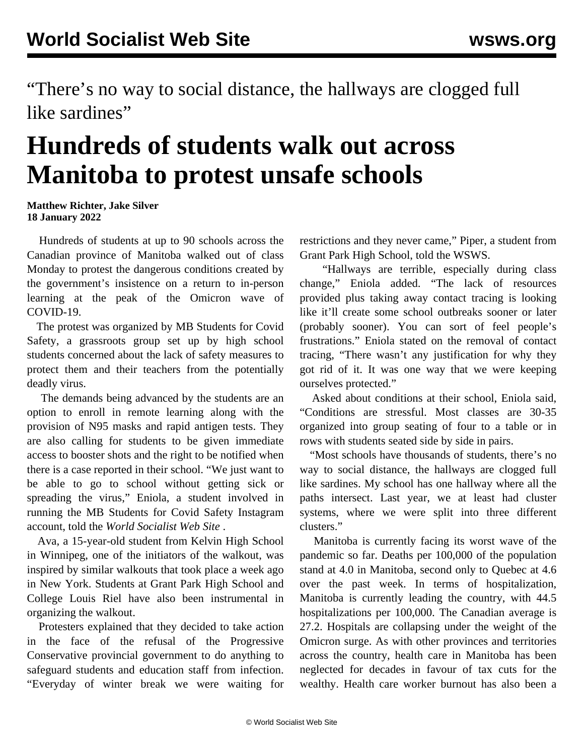"There's no way to social distance, the hallways are clogged full like sardines"

## **Hundreds of students walk out across Manitoba to protest unsafe schools**

## **Matthew Richter, Jake Silver 18 January 2022**

 Hundreds of students at up to 90 schools across the Canadian province of Manitoba walked out of class Monday to protest the dangerous conditions created by the government's insistence on a return to in-person learning at the peak of the Omicron wave of COVID-19.

 The protest was organized by MB Students for Covid Safety, a grassroots group set up by high school students concerned about the lack of safety measures to protect them and their teachers from the potentially deadly virus.

 The demands being advanced by the students are an option to enroll in remote learning along with the provision of N95 masks and rapid antigen tests. They are also calling for students to be given immediate access to booster shots and the right to be notified when there is a case reported in their school. "We just want to be able to go to school without getting sick or spreading the virus," Eniola, a student involved in running the MB Students for Covid Safety Instagram account, told the *World Socialist Web Site* .

 Ava, a 15-year-old student from Kelvin High School in Winnipeg, one of the initiators of the walkout, was inspired by similar walkouts that took place a week ago in New York. Students at Grant Park High School and College Louis Riel have also been instrumental in organizing the walkout.

 Protesters explained that they decided to take action in the face of the refusal of the Progressive Conservative provincial government to do anything to safeguard students and education staff from infection. "Everyday of winter break we were waiting for restrictions and they never came," Piper, a student from Grant Park High School, told the WSWS.

 "Hallways are terrible, especially during class change," Eniola added. "The lack of resources provided plus taking away contact tracing is looking like it'll create some school outbreaks sooner or later (probably sooner). You can sort of feel people's frustrations." Eniola stated on the removal of contact tracing, "There wasn't any justification for why they got rid of it. It was one way that we were keeping ourselves protected."

 Asked about conditions at their school, Eniola said, "Conditions are stressful. Most classes are 30-35 organized into group seating of four to a table or in rows with students seated side by side in pairs.

 "Most schools have thousands of students, there's no way to social distance, the hallways are clogged full like sardines. My school has one hallway where all the paths intersect. Last year, we at least had cluster systems, where we were split into three different clusters."

 Manitoba is currently facing its worst wave of the pandemic so far. Deaths per 100,000 of the population stand at 4.0 in Manitoba, second only to Quebec at 4.6 over the past week. In terms of hospitalization, Manitoba is currently leading the country, with 44.5 hospitalizations per 100,000. The Canadian average is 27.2. Hospitals are collapsing under the weight of the Omicron surge. As with other provinces and territories across the country, health care in Manitoba has been neglected for decades in favour of tax cuts for the wealthy. Health care worker burnout has also been a